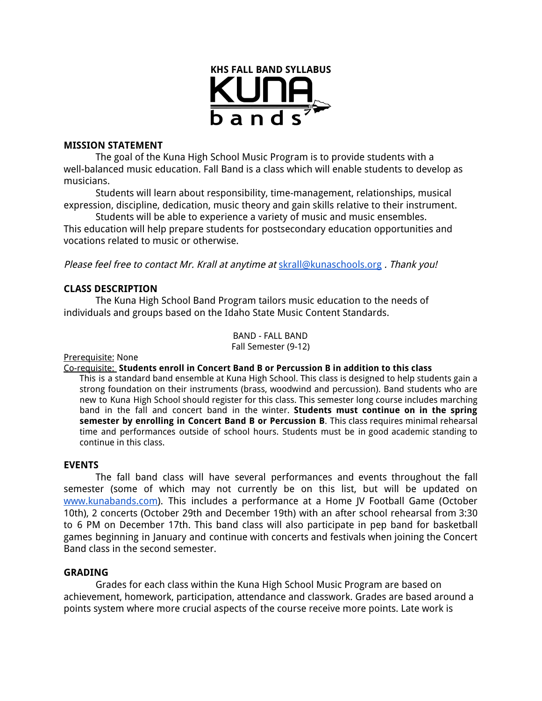

### **MISSION STATEMENT**

The goal of the Kuna High School Music Program is to provide students with a well-balanced music education. Fall Band is a class which will enable students to develop as musicians.

Students will learn about responsibility, time-management, relationships, musical expression, discipline, dedication, music theory and gain skills relative to their instrument.

Students will be able to experience a variety of music and music ensembles. This education will help prepare students for postsecondary education opportunities and vocations related to music or otherwise.

Please feel free to contact Mr. Krall at anytime at [skrall@kunaschools.org](mailto:skrall@kunaschools.org) . Thank you!

# **CLASS DESCRIPTION**

The Kuna High School Band Program tailors music education to the needs of individuals and groups based on the Idaho State Music Content Standards.

> BAND - FALL BAND Fall Semester (9-12)

Prerequisite: None

### Co-requisite: **Students enroll in Concert Band B or Percussion B in addition to this class**

This is a standard band ensemble at Kuna High School. This class is designed to help students gain a strong foundation on their instruments (brass, woodwind and percussion). Band students who are new to Kuna High School should register for this class. This semester long course includes marching band in the fall and concert band in the winter. **Students must continue on in the spring semester by enrolling in Concert Band B or Percussion B**. This class requires minimal rehearsal time and performances outside of school hours. Students must be in good academic standing to continue in this class.

### **EVENTS**

The fall band class will have several performances and events throughout the fall semester (some of which may not currently be on this list, but will be updated on [www.kunabands.com](http://www.kunabands.com/)). This includes a performance at a Home JV Football Game (October 10th), 2 concerts (October 29th and December 19th) with an after school rehearsal from 3:30 to 6 PM on December 17th. This band class will also participate in pep band for basketball games beginning in January and continue with concerts and festivals when joining the Concert Band class in the second semester.

### **GRADING**

Grades for each class within the Kuna High School Music Program are based on achievement, homework, participation, attendance and classwork. Grades are based around a points system where more crucial aspects of the course receive more points. Late work is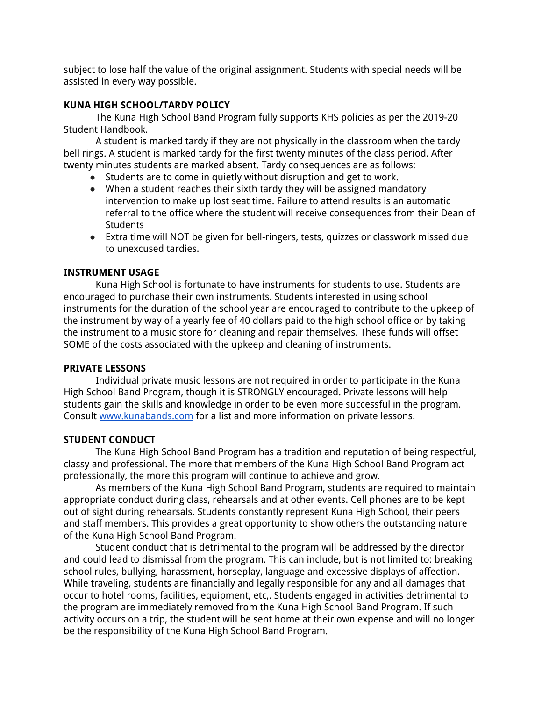subject to lose half the value of the original assignment. Students with special needs will be assisted in every way possible.

# **KUNA HIGH SCHOOL/TARDY POLICY**

The Kuna High School Band Program fully supports KHS policies as per the 2019-20 Student Handbook.

A student is marked tardy if they are not physically in the classroom when the tardy bell rings. A student is marked tardy for the first twenty minutes of the class period. After twenty minutes students are marked absent. Tardy consequences are as follows:

- Students are to come in quietly without disruption and get to work.
- When a student reaches their sixth tardy they will be assigned mandatory intervention to make up lost seat time. Failure to attend results is an automatic referral to the office where the student will receive consequences from their Dean of **Students**
- Extra time will NOT be given for bell-ringers, tests, quizzes or classwork missed due to unexcused tardies.

# **INSTRUMENT USAGE**

Kuna High School is fortunate to have instruments for students to use. Students are encouraged to purchase their own instruments. Students interested in using school instruments for the duration of the school year are encouraged to contribute to the upkeep of the instrument by way of a yearly fee of 40 dollars paid to the high school office or by taking the instrument to a music store for cleaning and repair themselves. These funds will offset SOME of the costs associated with the upkeep and cleaning of instruments.

# **PRIVATE LESSONS**

Individual private music lessons are not required in order to participate in the Kuna High School Band Program, though it is STRONGLY encouraged. Private lessons will help students gain the skills and knowledge in order to be even more successful in the program. Consult [www.kunabands.com](http://www.kunabands.com/) for a list and more information on private lessons.

# **STUDENT CONDUCT**

The Kuna High School Band Program has a tradition and reputation of being respectful, classy and professional. The more that members of the Kuna High School Band Program act professionally, the more this program will continue to achieve and grow.

As members of the Kuna High School Band Program, students are required to maintain appropriate conduct during class, rehearsals and at other events. Cell phones are to be kept out of sight during rehearsals. Students constantly represent Kuna High School, their peers and staff members. This provides a great opportunity to show others the outstanding nature of the Kuna High School Band Program.

Student conduct that is detrimental to the program will be addressed by the director and could lead to dismissal from the program. This can include, but is not limited to: breaking school rules, bullying, harassment, horseplay, language and excessive displays of affection. While traveling, students are financially and legally responsible for any and all damages that occur to hotel rooms, facilities, equipment, etc,. Students engaged in activities detrimental to the program are immediately removed from the Kuna High School Band Program. If such activity occurs on a trip, the student will be sent home at their own expense and will no longer be the responsibility of the Kuna High School Band Program.